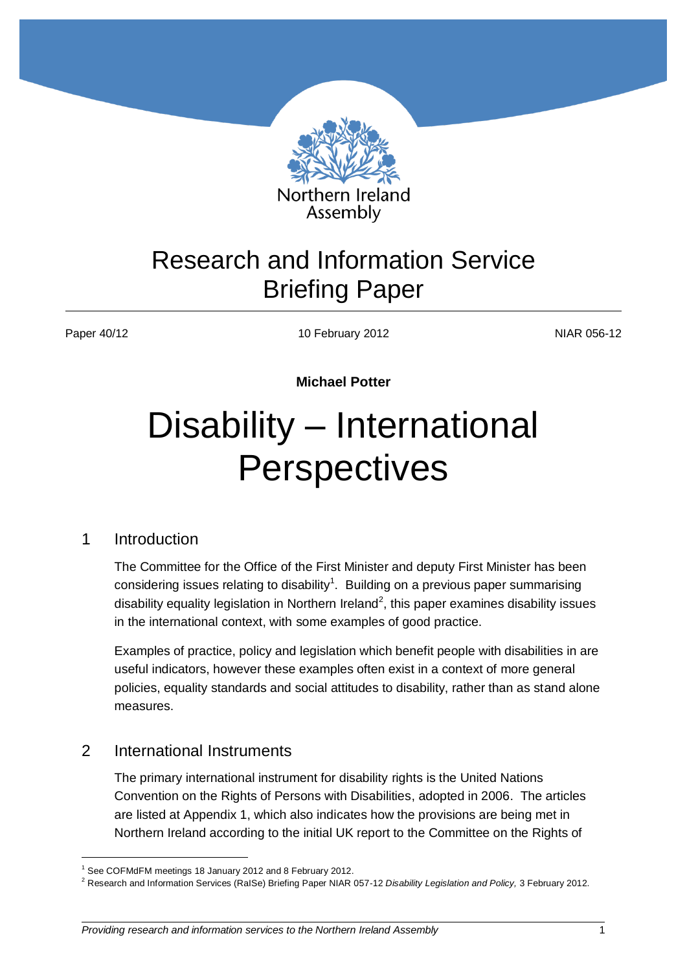

# Research and Information Service Briefing Paper

1

Paper 40/12 **NIAR 056-12** 10 February 2012 **NIAR 056-12** 

**Michael Potter**

# Disability – International **Perspectives**

#### 1 Introduction

The Committee for the Office of the First Minister and deputy First Minister has been considering issues relating to disability<sup>1</sup>. Building on a previous paper summarising disability equality legislation in Northern Ireland<sup>2</sup>, this paper examines disability issues in the international context, with some examples of good practice.

Examples of practice, policy and legislation which benefit people with disabilities in are useful indicators, however these examples often exist in a context of more general policies, equality standards and social attitudes to disability, rather than as stand alone measures.

#### 2 International Instruments

The primary international instrument for disability rights is the United Nations Convention on the Rights of Persons with Disabilities, adopted in 2006. The articles are listed at Appendix 1, which also indicates how the provisions are being met in Northern Ireland according to the initial UK report to the Committee on the Rights of

<sup>&</sup>lt;sup>1</sup> See COFMdFM meetings 18 January 2012 and 8 February 2012.

<sup>2</sup> Research and Information Services (RaISe) Briefing Paper NIAR 057-12 *Disability Legislation and Policy,* 3 February 2012.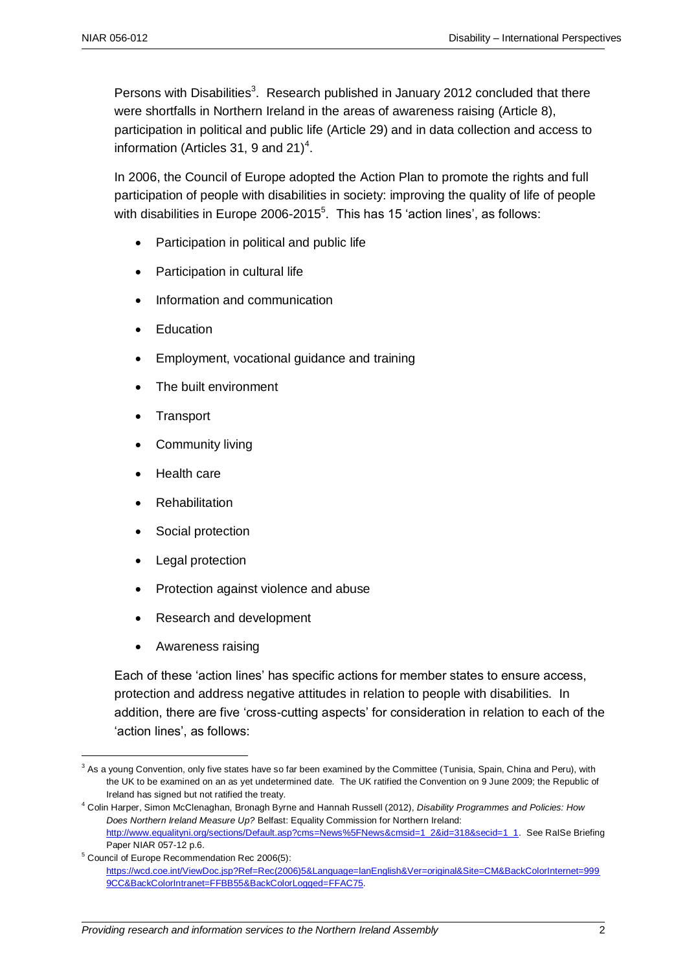Persons with Disabilities<sup>3</sup>. Research published in January 2012 concluded that there were shortfalls in Northern Ireland in the areas of awareness raising (Article 8), participation in political and public life (Article 29) and in data collection and access to information (Articles 31, 9 and 21)<sup>4</sup>.

In 2006, the Council of Europe adopted the Action Plan to promote the rights and full participation of people with disabilities in society: improving the quality of life of people with disabilities in Europe 2006-2015<sup>5</sup>. This has 15 'action lines', as follows:

- Participation in political and public life
- Participation in cultural life
- Information and communication
- Education
- Employment, vocational guidance and training
- The built environment
- **Transport**
- Community living
- Health care
- Rehabilitation
- Social protection
- Legal protection
- Protection against violence and abuse
- Research and development
- Awareness raising

Each of these 'action lines' has specific actions for member states to ensure access, protection and address negative attitudes in relation to people with disabilities. In addition, there are five 'cross-cutting aspects' for consideration in relation to each of the 'action lines', as follows:

<sup>&</sup>lt;u>.</u> <sup>3</sup> As a young Convention, only five states have so far been examined by the Committee (Tunisia, Spain, China and Peru), with the UK to be examined on an as yet undetermined date. The UK ratified the Convention on 9 June 2009; the Republic of Ireland has signed but not ratified the treaty.

<sup>4</sup> Colin Harper, Simon McClenaghan, Bronagh Byrne and Hannah Russell (2012), *Disability Programmes and Policies: How Does Northern Ireland Measure Up?* Belfast: Equality Commission for Northern Ireland: [http://www.equalityni.org/sections/Default.asp?cms=News%5FNews&cmsid=1\\_2&id=318&secid=1\\_1.](http://www.equalityni.org/sections/Default.asp?cms=News%5FNews&cmsid=1_2&id=318&secid=1_1) See RaISe Briefing Paper NIAR 057-12 p.6.

<sup>5</sup> Council of Europe Recommendation Rec 2006(5): [https://wcd.coe.int/ViewDoc.jsp?Ref=Rec\(2006\)5&Language=lanEnglish&Ver=original&Site=CM&BackColorInternet=999](https://wcd.coe.int/ViewDoc.jsp?Ref=Rec(2006)5&Language=lanEnglish&Ver=original&Site=CM&BackColorInternet=9999CC&BackColorIntranet=FFBB55&BackColorLogged=FFAC75) [9CC&BackColorIntranet=FFBB55&BackColorLogged=FFAC75.](https://wcd.coe.int/ViewDoc.jsp?Ref=Rec(2006)5&Language=lanEnglish&Ver=original&Site=CM&BackColorInternet=9999CC&BackColorIntranet=FFBB55&BackColorLogged=FFAC75)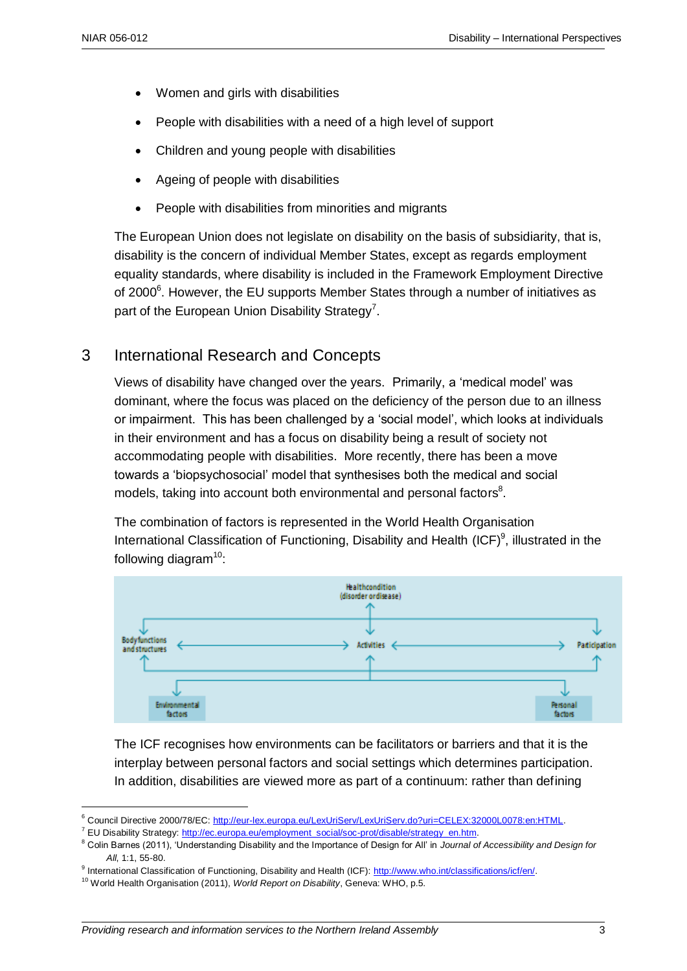1

- Women and girls with disabilities
- People with disabilities with a need of a high level of support
- Children and young people with disabilities
- Ageing of people with disabilities
- People with disabilities from minorities and migrants

The European Union does not legislate on disability on the basis of subsidiarity, that is, disability is the concern of individual Member States, except as regards employment equality standards, where disability is included in the Framework Employment Directive of 2000 $^6$ . However, the EU supports Member States through a number of initiatives as part of the European Union Disability Strategy<sup>7</sup>.

#### 3 International Research and Concepts

Views of disability have changed over the years. Primarily, a 'medical model' was dominant, where the focus was placed on the deficiency of the person due to an illness or impairment. This has been challenged by a 'social model', which looks at individuals in their environment and has a focus on disability being a result of society not accommodating people with disabilities. More recently, there has been a move towards a 'biopsychosocial' model that synthesises both the medical and social models, taking into account both environmental and personal factors $8$ .

The combination of factors is represented in the World Health Organisation International Classification of Functioning, Disability and Health (ICF)<sup>9</sup>, illustrated in the following diagram $10$ :



The ICF recognises how environments can be facilitators or barriers and that it is the interplay between personal factors and social settings which determines participation. In addition, disabilities are viewed more as part of a continuum: rather than defining

<sup>6</sup> Council Directive 2000/78/EC: [http://eur-lex.europa.eu/LexUriServ/LexUriServ.do?uri=CELEX:32000L0078:en:HTML.](http://eur-lex.europa.eu/LexUriServ/LexUriServ.do?uri=CELEX:32000L0078:en:HTML)

<sup>&</sup>lt;sup>7</sup> EU Disability Strategy: http://ec.europa.eu/employment\_social/soc-prot/disable/strategy\_en.htm.

<sup>8</sup> Colin Barnes (2011), 'Understanding Disability and the Importance of Design for All' in *Journal of Accessibility and Design for All*, 1:1, 55-80.

<sup>9</sup> International Classification of Functioning, Disability and Health (ICF): [http://www.who.int/classifications/icf/en/.](http://www.who.int/classifications/icf/en/)

<sup>10</sup> World Health Organisation (2011), *World Report on Disability*, Geneva: WHO, p.5.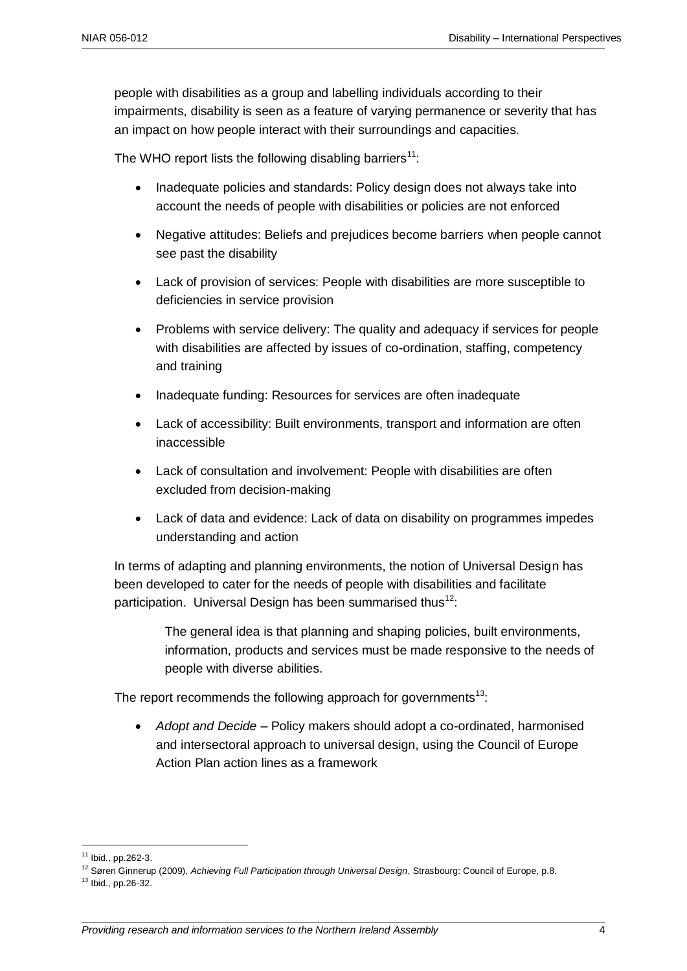people with disabilities as a group and labelling individuals according to their impairments, disability is seen as a feature of varying permanence or severity that has an impact on how people interact with their surroundings and capacities.

The WHO report lists the following disabling barriers<sup>11</sup>:

- Inadequate policies and standards: Policy design does not always take into account the needs of people with disabilities or policies are not enforced
- Negative attitudes: Beliefs and prejudices become barriers when people cannot see past the disability
- Lack of provision of services: People with disabilities are more susceptible to deficiencies in service provision
- Problems with service delivery: The quality and adequacy if services for people with disabilities are affected by issues of co-ordination, staffing, competency and training
- Inadequate funding: Resources for services are often inadequate
- Lack of accessibility: Built environments, transport and information are often inaccessible
- Lack of consultation and involvement: People with disabilities are often excluded from decision-making
- Lack of data and evidence: Lack of data on disability on programmes impedes understanding and action

In terms of adapting and planning environments, the notion of Universal Design has been developed to cater for the needs of people with disabilities and facilitate participation. Universal Design has been summarised thus<sup>12</sup>:

> The general idea is that planning and shaping policies, built environments, information, products and services must be made responsive to the needs of people with diverse abilities.

The report recommends the following approach for governments<sup>13</sup>:

 *Adopt and Decide* – Policy makers should adopt a co-ordinated, harmonised and intersectoral approach to universal design, using the Council of Europe Action Plan action lines as a framework

1

<sup>11</sup> Ibid., pp.262-3.

<sup>12</sup> Søren Ginnerup (2009), *Achieving Full Participation through Universal Design*, Strasbourg: Council of Europe, p.8.

<sup>13</sup> Ibid., pp.26-32.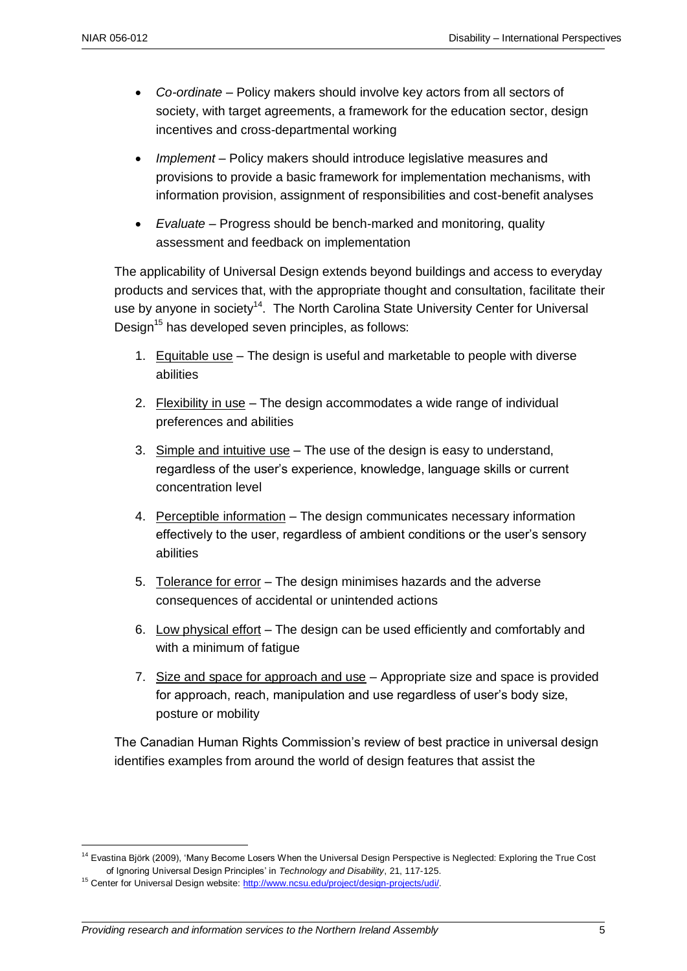- *Co-ordinate* Policy makers should involve key actors from all sectors of society, with target agreements, a framework for the education sector, design incentives and cross-departmental working
- *Implement* Policy makers should introduce legislative measures and provisions to provide a basic framework for implementation mechanisms, with information provision, assignment of responsibilities and cost-benefit analyses
- *Evaluate* Progress should be bench-marked and monitoring, quality assessment and feedback on implementation

The applicability of Universal Design extends beyond buildings and access to everyday products and services that, with the appropriate thought and consultation, facilitate their use by anyone in society<sup>14</sup>. The North Carolina State University Center for Universal Design<sup>15</sup> has developed seven principles, as follows:

- 1. Equitable use The design is useful and marketable to people with diverse abilities
- 2. Flexibility in use The design accommodates a wide range of individual preferences and abilities
- 3. Simple and intuitive use  $-$  The use of the design is easy to understand, regardless of the user's experience, knowledge, language skills or current concentration level
- 4. Perceptible information The design communicates necessary information effectively to the user, regardless of ambient conditions or the user's sensory abilities
- 5. Tolerance for error The design minimises hazards and the adverse consequences of accidental or unintended actions
- 6. Low physical effort The design can be used efficiently and comfortably and with a minimum of fatigue
- 7. Size and space for approach and use Appropriate size and space is provided for approach, reach, manipulation and use regardless of user's body size, posture or mobility

The Canadian Human Rights Commission's review of best practice in universal design identifies examples from around the world of design features that assist the

1

<sup>&</sup>lt;sup>14</sup> Evastina Björk (2009), 'Many Become Losers When the Universal Design Perspective is Neglected: Exploring the True Cost of Ignoring Universal Design Principles' in *Technology and Disability*, 21, 117-125.

<sup>&</sup>lt;sup>15</sup> Center for Universal Design website: http://www.ncsu.edu/project/design-projects/udi/.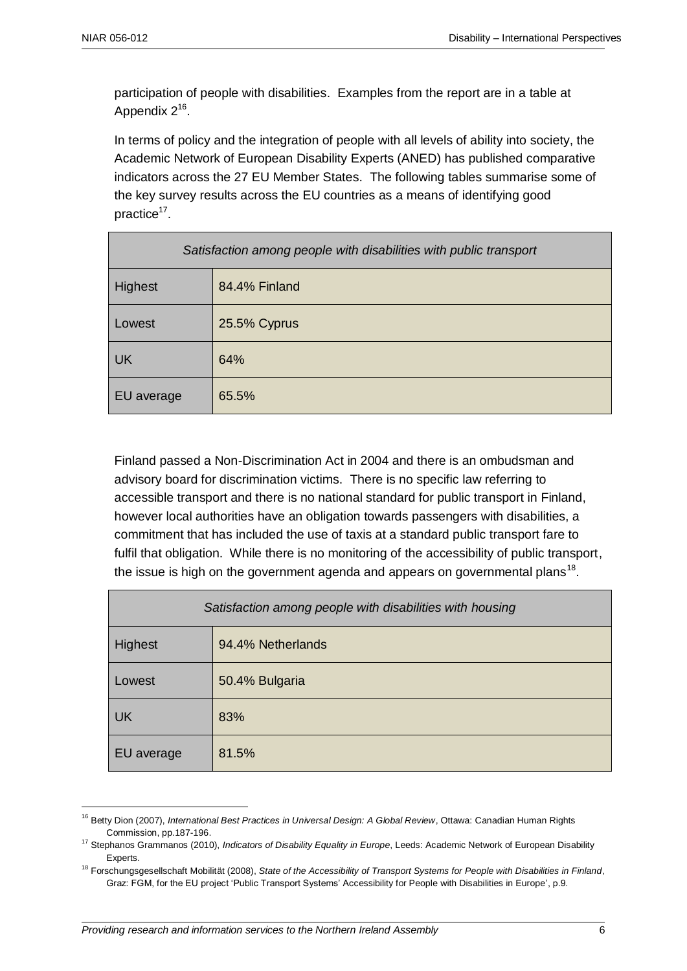1

participation of people with disabilities. Examples from the report are in a table at Appendix  $2^{16}$ .

In terms of policy and the integration of people with all levels of ability into society, the Academic Network of European Disability Experts (ANED) has published comparative indicators across the 27 EU Member States. The following tables summarise some of the key survey results across the EU countries as a means of identifying good practice<sup>17</sup>.

| Satisfaction among people with disabilities with public transport |               |  |
|-------------------------------------------------------------------|---------------|--|
| Highest                                                           | 84.4% Finland |  |
| Lowest                                                            | 25.5% Cyprus  |  |
| UK                                                                | 64%           |  |
| EU average                                                        | 65.5%         |  |

Finland passed a Non-Discrimination Act in 2004 and there is an ombudsman and advisory board for discrimination victims. There is no specific law referring to accessible transport and there is no national standard for public transport in Finland, however local authorities have an obligation towards passengers with disabilities, a commitment that has included the use of taxis at a standard public transport fare to fulfil that obligation. While there is no monitoring of the accessibility of public transport, the issue is high on the government agenda and appears on governmental plans<sup>18</sup>.

| Satisfaction among people with disabilities with housing |                   |
|----------------------------------------------------------|-------------------|
| Highest                                                  | 94.4% Netherlands |
| Lowest                                                   | 50.4% Bulgaria    |
| <b>UK</b>                                                | 83%               |
| EU average                                               | 81.5%             |

<sup>16</sup> Betty Dion (2007), *International Best Practices in Universal Design: A Global Review*, Ottawa: Canadian Human Rights Commission, pp.187-196.

<sup>17</sup> Stephanos Grammanos (2010), *Indicators of Disability Equality in Europe*, Leeds: Academic Network of European Disability Experts.

<sup>18</sup> Forschungsgesellschaft Mobilität (2008), *State of the Accessibility of Transport Systems for People with Disabilities in Finland*, Graz: FGM, for the EU project 'Public Transport Systems' Accessibility for People with Disabilities in Europe', p.9.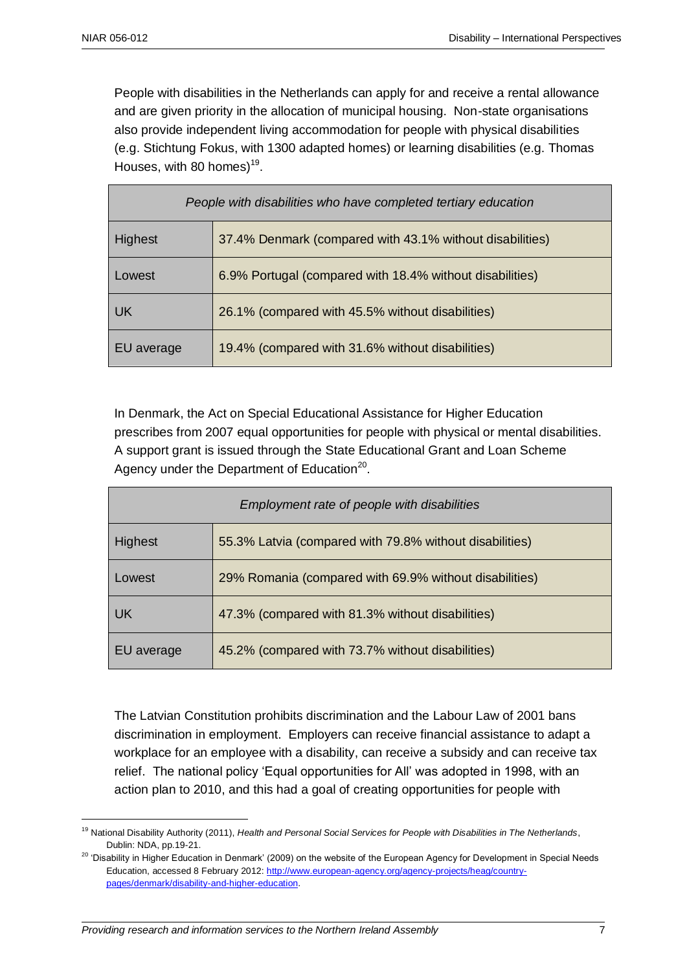<u>.</u>

People with disabilities in the Netherlands can apply for and receive a rental allowance and are given priority in the allocation of municipal housing. Non-state organisations also provide independent living accommodation for people with physical disabilities (e.g. Stichtung Fokus, with 1300 adapted homes) or learning disabilities (e.g. Thomas Houses, with 80 homes) $19$ .

| People with disabilities who have completed tertiary education |                                                          |
|----------------------------------------------------------------|----------------------------------------------------------|
| <b>Highest</b>                                                 | 37.4% Denmark (compared with 43.1% without disabilities) |
| Lowest                                                         | 6.9% Portugal (compared with 18.4% without disabilities) |
| UK.                                                            | 26.1% (compared with 45.5% without disabilities)         |
| EU average                                                     | 19.4% (compared with 31.6% without disabilities)         |

In Denmark, the Act on Special Educational Assistance for Higher Education prescribes from 2007 equal opportunities for people with physical or mental disabilities. A support grant is issued through the State Educational Grant and Loan Scheme Agency under the Department of Education<sup>20</sup>.

| Employment rate of people with disabilities |                                                         |  |
|---------------------------------------------|---------------------------------------------------------|--|
| <b>Highest</b>                              | 55.3% Latvia (compared with 79.8% without disabilities) |  |
| Lowest                                      | 29% Romania (compared with 69.9% without disabilities)  |  |
| UK                                          | 47.3% (compared with 81.3% without disabilities)        |  |
| EU average                                  | 45.2% (compared with 73.7% without disabilities)        |  |

The Latvian Constitution prohibits discrimination and the Labour Law of 2001 bans discrimination in employment. Employers can receive financial assistance to adapt a workplace for an employee with a disability, can receive a subsidy and can receive tax relief. The national policy 'Equal opportunities for All' was adopted in 1998, with an action plan to 2010, and this had a goal of creating opportunities for people with

<sup>19</sup> National Disability Authority (2011), *Health and Personal Social Services for People with Disabilities in The Netherlands*, Dublin: NDA, pp.19-21.

<sup>&</sup>lt;sup>20</sup> 'Disability in Higher Education in Denmark' (2009) on the website of the European Agency for Development in Special Needs Education, accessed 8 February 2012: [http://www.european-agency.org/agency-projects/heag/country](http://www.european-agency.org/agency-projects/heag/country-pages/denmark/disability-and-higher-education)[pages/denmark/disability-and-higher-education.](http://www.european-agency.org/agency-projects/heag/country-pages/denmark/disability-and-higher-education)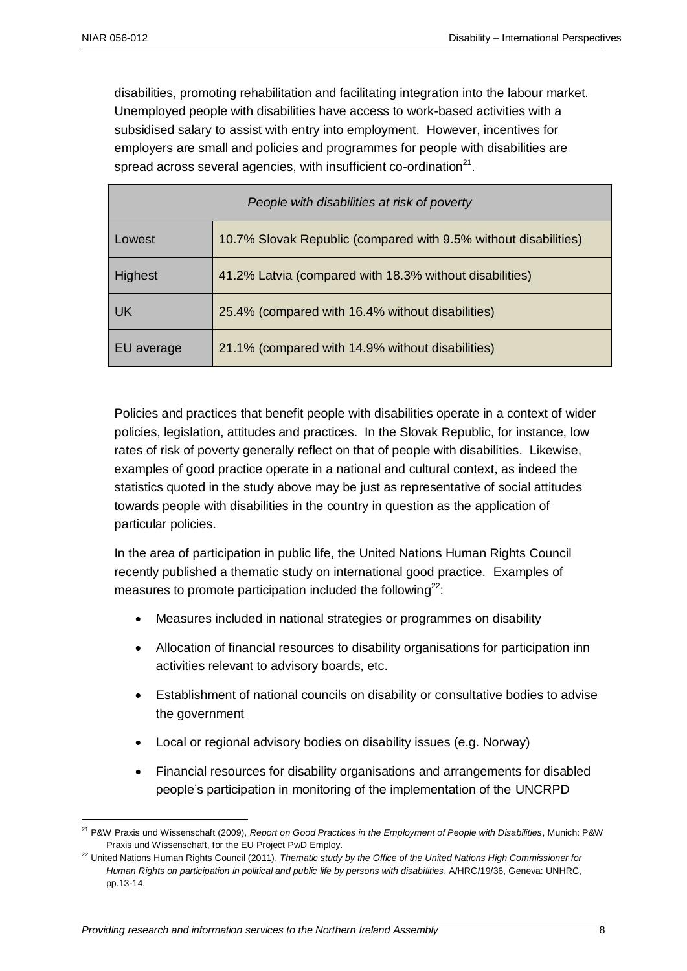<u>.</u>

disabilities, promoting rehabilitation and facilitating integration into the labour market. Unemployed people with disabilities have access to work-based activities with a subsidised salary to assist with entry into employment. However, incentives for employers are small and policies and programmes for people with disabilities are spread across several agencies, with insufficient co-ordination $^{21}$ .

| People with disabilities at risk of poverty |                                                                 |  |
|---------------------------------------------|-----------------------------------------------------------------|--|
| Lowest                                      | 10.7% Slovak Republic (compared with 9.5% without disabilities) |  |
| <b>Highest</b>                              | 41.2% Latvia (compared with 18.3% without disabilities)         |  |
| UK.                                         | 25.4% (compared with 16.4% without disabilities)                |  |
| EU average                                  | 21.1% (compared with 14.9% without disabilities)                |  |

Policies and practices that benefit people with disabilities operate in a context of wider policies, legislation, attitudes and practices. In the Slovak Republic, for instance, low rates of risk of poverty generally reflect on that of people with disabilities. Likewise, examples of good practice operate in a national and cultural context, as indeed the statistics quoted in the study above may be just as representative of social attitudes towards people with disabilities in the country in question as the application of particular policies.

In the area of participation in public life, the United Nations Human Rights Council recently published a thematic study on international good practice. Examples of measures to promote participation included the following $^{22}$ :

- Measures included in national strategies or programmes on disability
- Allocation of financial resources to disability organisations for participation inn activities relevant to advisory boards, etc.
- Establishment of national councils on disability or consultative bodies to advise the government
- Local or regional advisory bodies on disability issues (e.g. Norway)
- Financial resources for disability organisations and arrangements for disabled people's participation in monitoring of the implementation of the UNCRPD

<sup>21</sup> P&W Praxis und Wissenschaft (2009), *Report on Good Practices in the Employment of People with Disabilities*, Munich: P&W Praxis und Wissenschaft, for the EU Project PwD Employ.

<sup>&</sup>lt;sup>22</sup> United Nations Human Rights Council (2011), *Thematic study by the Office of the United Nations High Commissioner for Human Rights on participation in political and public life by persons with disabilities*, A/HRC/19/36, Geneva: UNHRC, pp.13-14.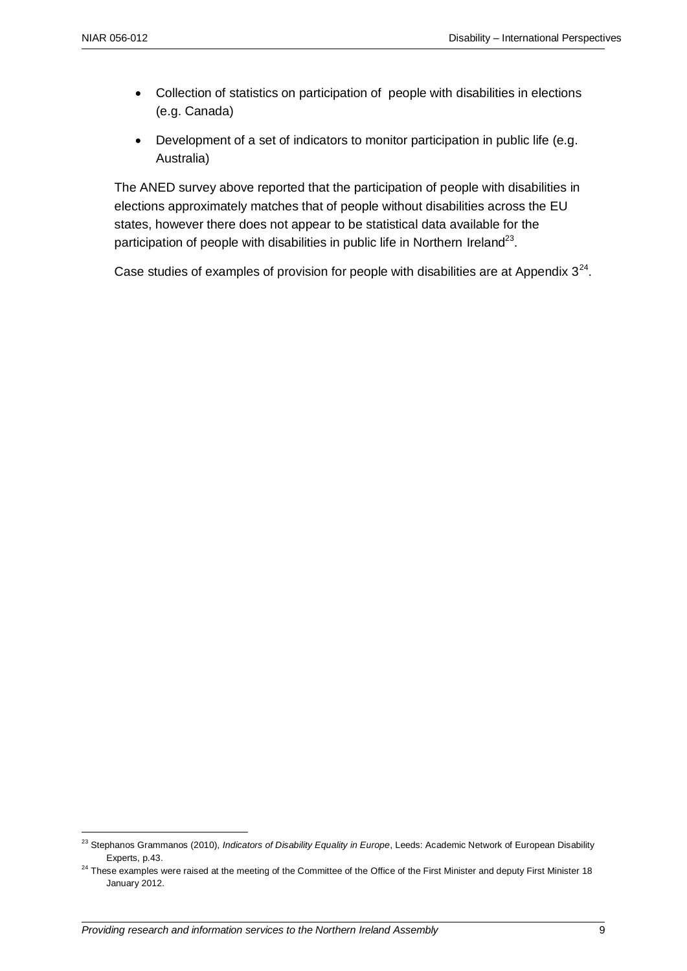1

- Collection of statistics on participation of people with disabilities in elections (e.g. Canada)
- Development of a set of indicators to monitor participation in public life (e.g. Australia)

The ANED survey above reported that the participation of people with disabilities in elections approximately matches that of people without disabilities across the EU states, however there does not appear to be statistical data available for the participation of people with disabilities in public life in Northern Ireland<sup>23</sup>.

Case studies of examples of provision for people with disabilities are at Appendix  $3^{24}$ .

<sup>&</sup>lt;sup>23</sup> Stephanos Grammanos (2010), *Indicators of Disability Equality in Europe*, Leeds: Academic Network of European Disability Experts, p.43.

<sup>&</sup>lt;sup>24</sup> These examples were raised at the meeting of the Committee of the Office of the First Minister and deputy First Minister 18 January 2012.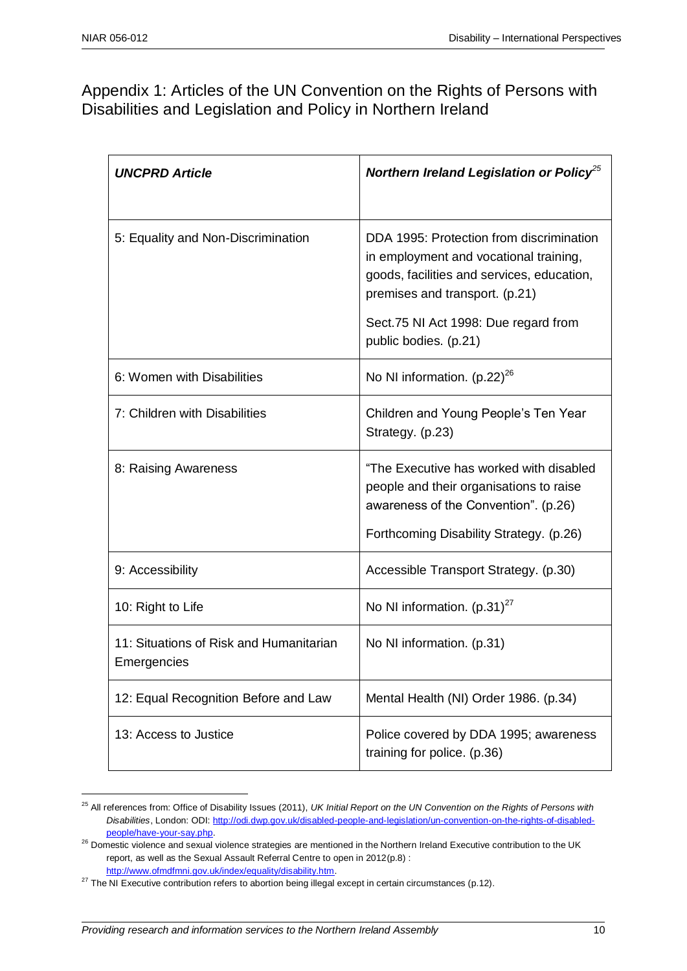<u>.</u>

### Appendix 1: Articles of the UN Convention on the Rights of Persons with Disabilities and Legislation and Policy in Northern Ireland

| <b>UNCPRD Article</b>                                  | Northern Ireland Legislation or Policy <sup>25</sup>                                                                                                                                                                                |
|--------------------------------------------------------|-------------------------------------------------------------------------------------------------------------------------------------------------------------------------------------------------------------------------------------|
| 5: Equality and Non-Discrimination                     | DDA 1995: Protection from discrimination<br>in employment and vocational training,<br>goods, facilities and services, education,<br>premises and transport. (p.21)<br>Sect.75 NI Act 1998: Due regard from<br>public bodies. (p.21) |
| 6: Women with Disabilities                             | No NI information. $(p.22)^{26}$                                                                                                                                                                                                    |
| 7: Children with Disabilities                          | Children and Young People's Ten Year<br>Strategy. (p.23)                                                                                                                                                                            |
| 8: Raising Awareness                                   | "The Executive has worked with disabled<br>people and their organisations to raise<br>awareness of the Convention". (p.26)<br>Forthcoming Disability Strategy. (p.26)                                                               |
| 9: Accessibility                                       | Accessible Transport Strategy. (p.30)                                                                                                                                                                                               |
| 10: Right to Life                                      | No NI information. $(p.31)^{27}$                                                                                                                                                                                                    |
| 11: Situations of Risk and Humanitarian<br>Emergencies | No NI information. (p.31)                                                                                                                                                                                                           |
| 12: Equal Recognition Before and Law                   | Mental Health (NI) Order 1986. (p.34)                                                                                                                                                                                               |
| 13: Access to Justice                                  | Police covered by DDA 1995; awareness<br>training for police. (p.36)                                                                                                                                                                |

<sup>&</sup>lt;sup>25</sup> All references from: Office of Disability Issues (2011), *UK Initial Report on the UN Convention on the Rights of Persons with Disabilities*, London: ODI[: http://odi.dwp.gov.uk/disabled-people-and-legislation/un-convention-on-the-rights-of-disabled](http://odi.dwp.gov.uk/disabled-people-and-legislation/un-convention-on-the-rights-of-disabled-people/have-your-say.php)[people/have-your-say.php.](http://odi.dwp.gov.uk/disabled-people-and-legislation/un-convention-on-the-rights-of-disabled-people/have-your-say.php) 

<sup>&</sup>lt;sup>26</sup> Domestic violence and sexual violence strategies are mentioned in the Northern Ireland Executive contribution to the UK report, as well as the Sexual Assault Referral Centre to open in 2012(p.8) : [http://www.ofmdfmni.gov.uk/index/equality/disability.htm.](http://www.ofmdfmni.gov.uk/index/equality/disability.htm)

 $^{27}$  The NI Executive contribution refers to abortion being illegal except in certain circumstances (p.12).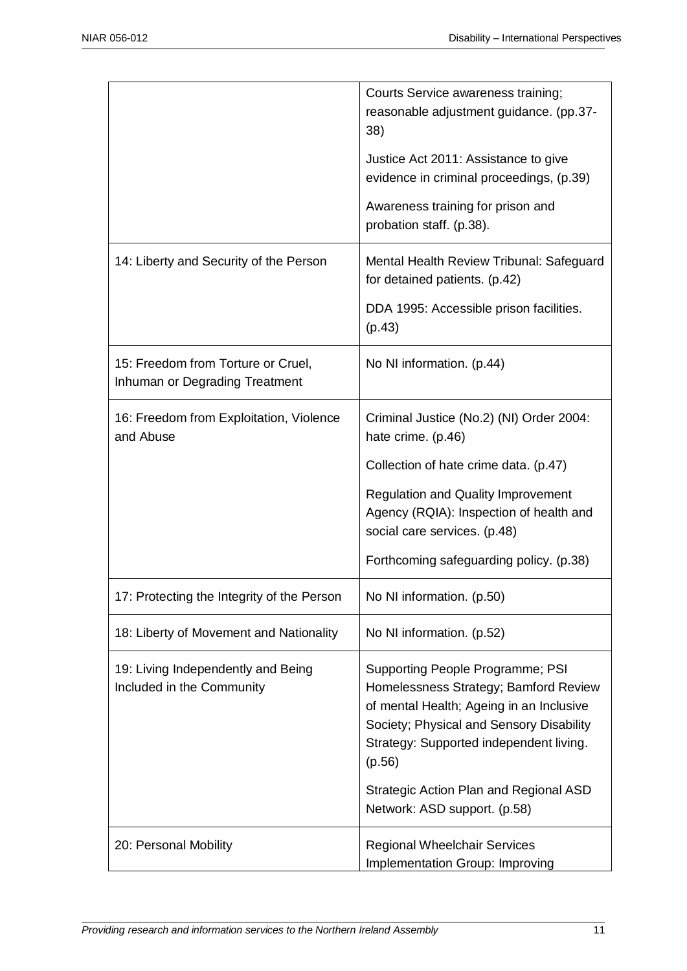|                                                                      | Courts Service awareness training;<br>reasonable adjustment guidance. (pp.37-<br>38)                                                                                                                                                                                                             |
|----------------------------------------------------------------------|--------------------------------------------------------------------------------------------------------------------------------------------------------------------------------------------------------------------------------------------------------------------------------------------------|
|                                                                      | Justice Act 2011: Assistance to give<br>evidence in criminal proceedings, (p.39)                                                                                                                                                                                                                 |
|                                                                      | Awareness training for prison and<br>probation staff. (p.38).                                                                                                                                                                                                                                    |
| 14: Liberty and Security of the Person                               | Mental Health Review Tribunal: Safeguard<br>for detained patients. (p.42)                                                                                                                                                                                                                        |
|                                                                      | DDA 1995: Accessible prison facilities.<br>(p.43)                                                                                                                                                                                                                                                |
| 15: Freedom from Torture or Cruel,<br>Inhuman or Degrading Treatment | No NI information. (p.44)                                                                                                                                                                                                                                                                        |
| 16: Freedom from Exploitation, Violence<br>and Abuse                 | Criminal Justice (No.2) (NI) Order 2004:<br>hate crime. (p.46)                                                                                                                                                                                                                                   |
|                                                                      | Collection of hate crime data. (p.47)                                                                                                                                                                                                                                                            |
|                                                                      | <b>Regulation and Quality Improvement</b><br>Agency (RQIA): Inspection of health and<br>social care services. (p.48)                                                                                                                                                                             |
|                                                                      | Forthcoming safeguarding policy. (p.38)                                                                                                                                                                                                                                                          |
| 17: Protecting the Integrity of the Person                           | No NI information. (p.50)                                                                                                                                                                                                                                                                        |
| 18: Liberty of Movement and Nationality                              | No NI information. (p.52)                                                                                                                                                                                                                                                                        |
| 19: Living Independently and Being<br>Included in the Community      | Supporting People Programme; PSI<br>Homelessness Strategy; Bamford Review<br>of mental Health; Ageing in an Inclusive<br>Society; Physical and Sensory Disability<br>Strategy: Supported independent living.<br>(p.56)<br>Strategic Action Plan and Regional ASD<br>Network: ASD support. (p.58) |
| 20: Personal Mobility                                                | <b>Regional Wheelchair Services</b>                                                                                                                                                                                                                                                              |
|                                                                      | Implementation Group: Improving                                                                                                                                                                                                                                                                  |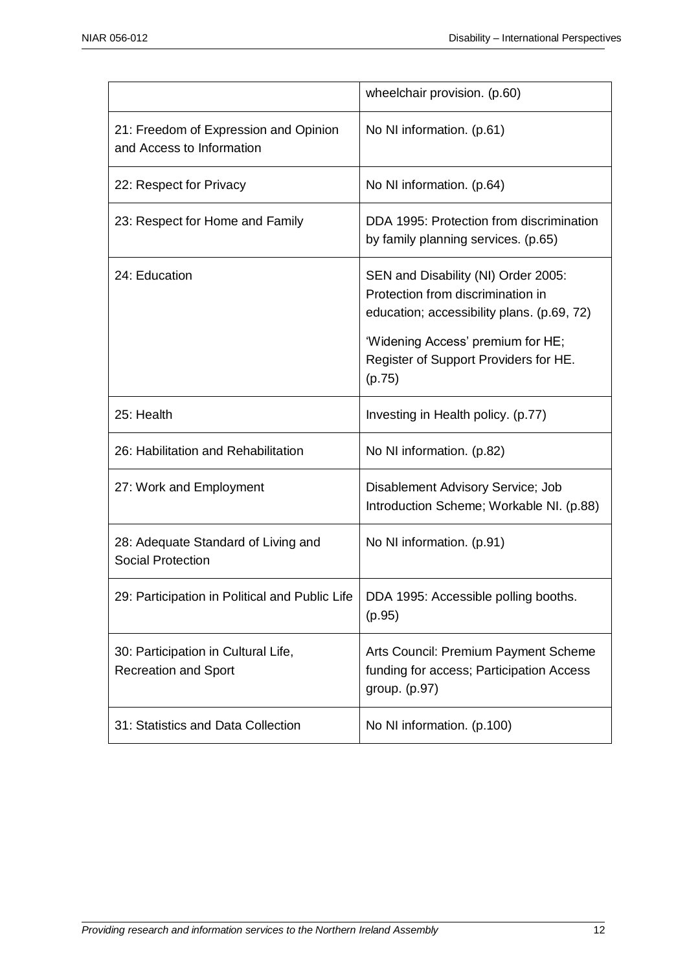|                                                                    | wheelchair provision. (p.60)                                                                                                                                                                                   |
|--------------------------------------------------------------------|----------------------------------------------------------------------------------------------------------------------------------------------------------------------------------------------------------------|
| 21: Freedom of Expression and Opinion<br>and Access to Information | No NI information. (p.61)                                                                                                                                                                                      |
| 22: Respect for Privacy                                            | No NI information. (p.64)                                                                                                                                                                                      |
| 23: Respect for Home and Family                                    | DDA 1995: Protection from discrimination<br>by family planning services. (p.65)                                                                                                                                |
| 24: Education                                                      | SEN and Disability (NI) Order 2005:<br>Protection from discrimination in<br>education; accessibility plans. (p.69, 72)<br>'Widening Access' premium for HE;<br>Register of Support Providers for HE.<br>(p.75) |
| 25: Health                                                         | Investing in Health policy. (p.77)                                                                                                                                                                             |
| 26: Habilitation and Rehabilitation                                | No NI information. (p.82)                                                                                                                                                                                      |
| 27: Work and Employment                                            | Disablement Advisory Service; Job<br>Introduction Scheme; Workable NI. (p.88)                                                                                                                                  |
| 28: Adequate Standard of Living and<br><b>Social Protection</b>    | No NI information. (p.91)                                                                                                                                                                                      |
| 29: Participation in Political and Public Life                     | DDA 1995: Accessible polling booths.<br>(p.95)                                                                                                                                                                 |
| 30: Participation in Cultural Life,<br><b>Recreation and Sport</b> | Arts Council: Premium Payment Scheme<br>funding for access; Participation Access<br>group. (p.97)                                                                                                              |
| 31: Statistics and Data Collection                                 | No NI information. (p.100)                                                                                                                                                                                     |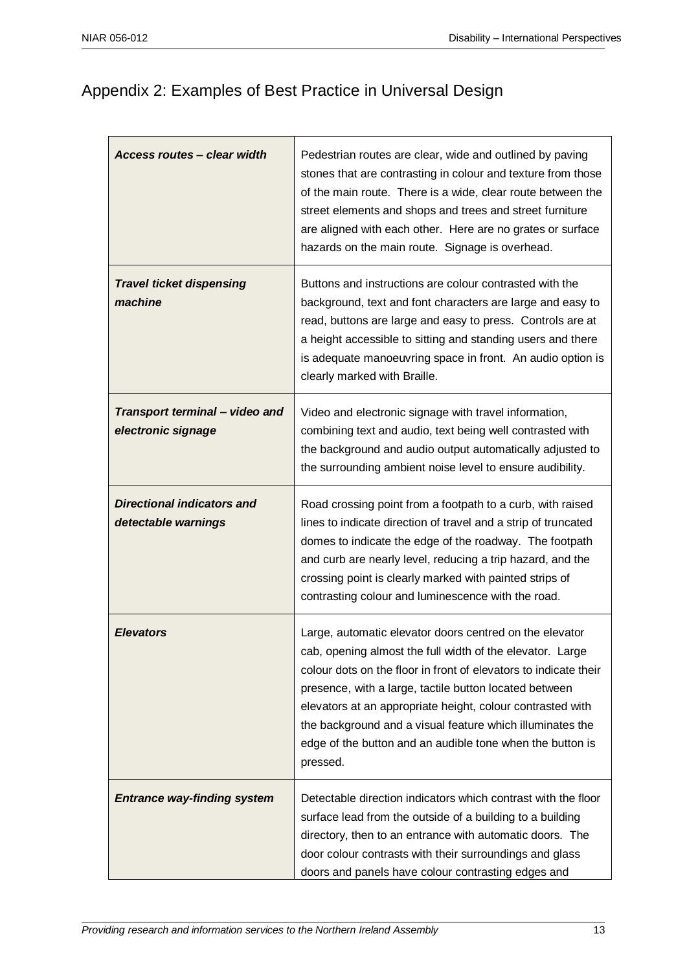# Appendix 2: Examples of Best Practice in Universal Design

| Access routes - clear width                              | Pedestrian routes are clear, wide and outlined by paving<br>stones that are contrasting in colour and texture from those<br>of the main route. There is a wide, clear route between the<br>street elements and shops and trees and street furniture<br>are aligned with each other. Here are no grates or surface<br>hazards on the main route. Signage is overhead.                                                                                   |
|----------------------------------------------------------|--------------------------------------------------------------------------------------------------------------------------------------------------------------------------------------------------------------------------------------------------------------------------------------------------------------------------------------------------------------------------------------------------------------------------------------------------------|
| <b>Travel ticket dispensing</b><br>machine               | Buttons and instructions are colour contrasted with the<br>background, text and font characters are large and easy to<br>read, buttons are large and easy to press. Controls are at<br>a height accessible to sitting and standing users and there<br>is adequate manoeuvring space in front. An audio option is<br>clearly marked with Braille.                                                                                                       |
| Transport terminal - video and<br>electronic signage     | Video and electronic signage with travel information,<br>combining text and audio, text being well contrasted with<br>the background and audio output automatically adjusted to<br>the surrounding ambient noise level to ensure audibility.                                                                                                                                                                                                           |
| <b>Directional indicators and</b><br>detectable warnings | Road crossing point from a footpath to a curb, with raised<br>lines to indicate direction of travel and a strip of truncated<br>domes to indicate the edge of the roadway. The footpath<br>and curb are nearly level, reducing a trip hazard, and the<br>crossing point is clearly marked with painted strips of<br>contrasting colour and luminescence with the road.                                                                                 |
| <b>Elevators</b>                                         | Large, automatic elevator doors centred on the elevator<br>cab, opening almost the full width of the elevator. Large<br>colour dots on the floor in front of elevators to indicate their<br>presence, with a large, tactile button located between<br>elevators at an appropriate height, colour contrasted with<br>the background and a visual feature which illuminates the<br>edge of the button and an audible tone when the button is<br>pressed. |
| <b>Entrance way-finding system</b>                       | Detectable direction indicators which contrast with the floor<br>surface lead from the outside of a building to a building<br>directory, then to an entrance with automatic doors. The<br>door colour contrasts with their surroundings and glass<br>doors and panels have colour contrasting edges and                                                                                                                                                |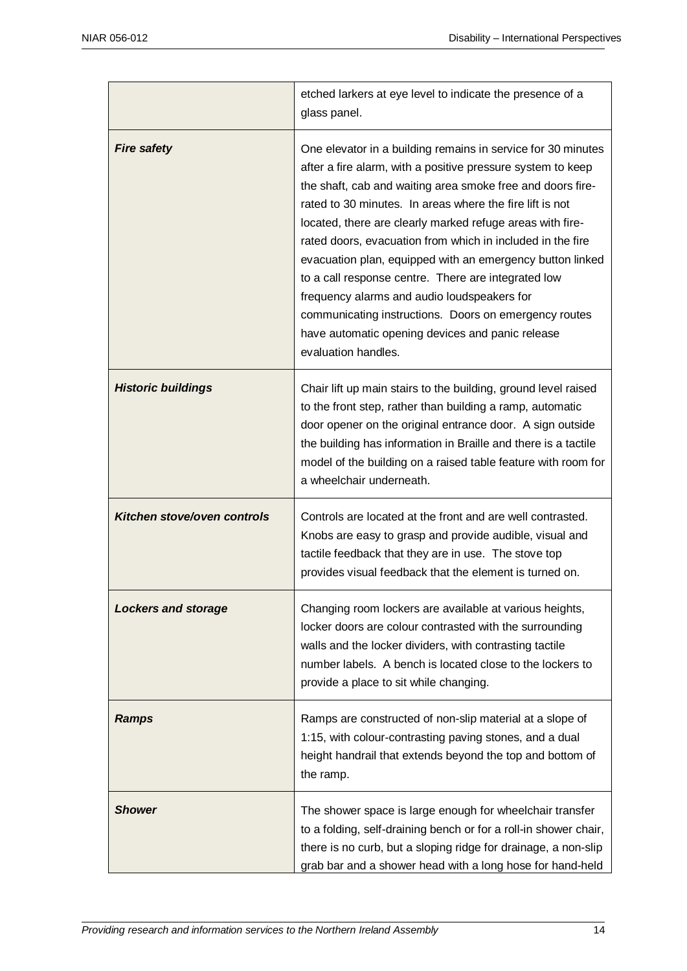|                             | etched larkers at eye level to indicate the presence of a<br>glass panel.                                                                                                                                                                                                                                                                                                                                                                                                                                                                                                                                                                                                               |
|-----------------------------|-----------------------------------------------------------------------------------------------------------------------------------------------------------------------------------------------------------------------------------------------------------------------------------------------------------------------------------------------------------------------------------------------------------------------------------------------------------------------------------------------------------------------------------------------------------------------------------------------------------------------------------------------------------------------------------------|
| <b>Fire safety</b>          | One elevator in a building remains in service for 30 minutes<br>after a fire alarm, with a positive pressure system to keep<br>the shaft, cab and waiting area smoke free and doors fire-<br>rated to 30 minutes. In areas where the fire lift is not<br>located, there are clearly marked refuge areas with fire-<br>rated doors, evacuation from which in included in the fire<br>evacuation plan, equipped with an emergency button linked<br>to a call response centre. There are integrated low<br>frequency alarms and audio loudspeakers for<br>communicating instructions. Doors on emergency routes<br>have automatic opening devices and panic release<br>evaluation handles. |
| <b>Historic buildings</b>   | Chair lift up main stairs to the building, ground level raised<br>to the front step, rather than building a ramp, automatic<br>door opener on the original entrance door. A sign outside<br>the building has information in Braille and there is a tactile<br>model of the building on a raised table feature with room for<br>a wheelchair underneath.                                                                                                                                                                                                                                                                                                                                 |
| Kitchen stove/oven controls | Controls are located at the front and are well contrasted.<br>Knobs are easy to grasp and provide audible, visual and<br>tactile feedback that they are in use. The stove top<br>provides visual feedback that the element is turned on.                                                                                                                                                                                                                                                                                                                                                                                                                                                |
| <b>Lockers and storage</b>  | Changing room lockers are available at various heights,<br>locker doors are colour contrasted with the surrounding<br>walls and the locker dividers, with contrasting tactile<br>number labels. A bench is located close to the lockers to<br>provide a place to sit while changing.                                                                                                                                                                                                                                                                                                                                                                                                    |
| <b>Ramps</b>                | Ramps are constructed of non-slip material at a slope of<br>1:15, with colour-contrasting paving stones, and a dual<br>height handrail that extends beyond the top and bottom of<br>the ramp.                                                                                                                                                                                                                                                                                                                                                                                                                                                                                           |
| <b>Shower</b>               | The shower space is large enough for wheelchair transfer<br>to a folding, self-draining bench or for a roll-in shower chair,<br>there is no curb, but a sloping ridge for drainage, a non-slip<br>grab bar and a shower head with a long hose for hand-held                                                                                                                                                                                                                                                                                                                                                                                                                             |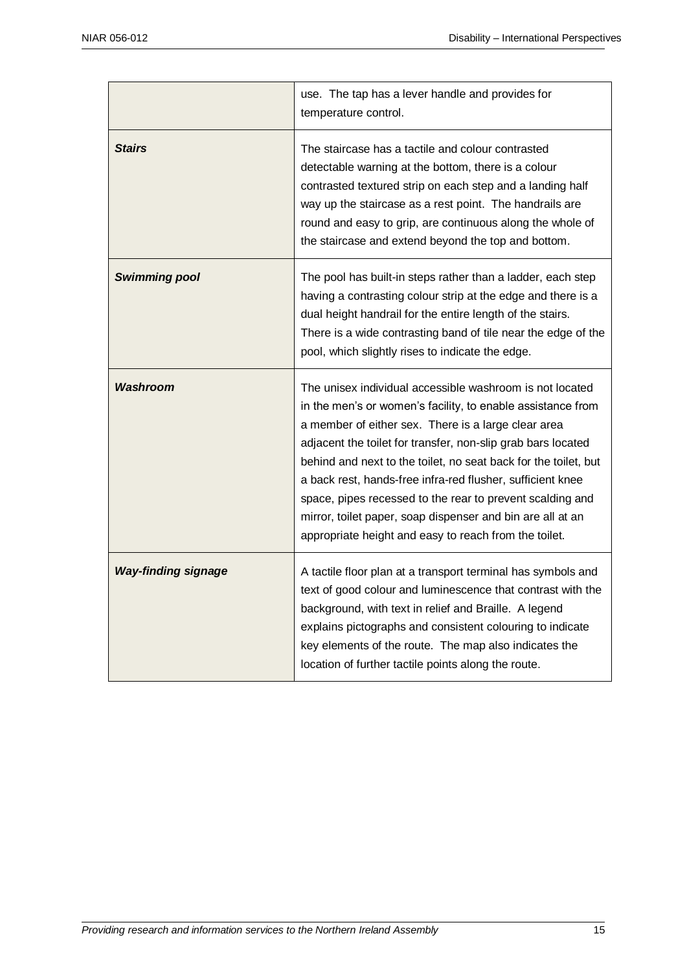|                            | use. The tap has a lever handle and provides for<br>temperature control.                                                                                                                                                                                                                                                                                                                                                                                                                                                                                            |
|----------------------------|---------------------------------------------------------------------------------------------------------------------------------------------------------------------------------------------------------------------------------------------------------------------------------------------------------------------------------------------------------------------------------------------------------------------------------------------------------------------------------------------------------------------------------------------------------------------|
| <b>Stairs</b>              | The staircase has a tactile and colour contrasted<br>detectable warning at the bottom, there is a colour<br>contrasted textured strip on each step and a landing half<br>way up the staircase as a rest point. The handrails are<br>round and easy to grip, are continuous along the whole of<br>the staircase and extend beyond the top and bottom.                                                                                                                                                                                                                |
| <b>Swimming pool</b>       | The pool has built-in steps rather than a ladder, each step<br>having a contrasting colour strip at the edge and there is a<br>dual height handrail for the entire length of the stairs.<br>There is a wide contrasting band of tile near the edge of the<br>pool, which slightly rises to indicate the edge.                                                                                                                                                                                                                                                       |
| Washroom                   | The unisex individual accessible washroom is not located<br>in the men's or women's facility, to enable assistance from<br>a member of either sex. There is a large clear area<br>adjacent the toilet for transfer, non-slip grab bars located<br>behind and next to the toilet, no seat back for the toilet, but<br>a back rest, hands-free infra-red flusher, sufficient knee<br>space, pipes recessed to the rear to prevent scalding and<br>mirror, toilet paper, soap dispenser and bin are all at an<br>appropriate height and easy to reach from the toilet. |
| <b>Way-finding signage</b> | A tactile floor plan at a transport terminal has symbols and<br>text of good colour and luminescence that contrast with the<br>background, with text in relief and Braille. A legend<br>explains pictographs and consistent colouring to indicate<br>key elements of the route. The map also indicates the<br>location of further tactile points along the route.                                                                                                                                                                                                   |